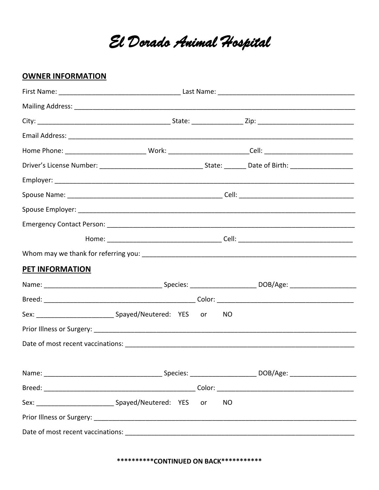El Dorado Animal Hospital

## **OWNER INFORMATION**

| PET INFORMATION |  |  |  |           |  |  |
|-----------------|--|--|--|-----------|--|--|
|                 |  |  |  |           |  |  |
|                 |  |  |  |           |  |  |
|                 |  |  |  |           |  |  |
|                 |  |  |  |           |  |  |
|                 |  |  |  |           |  |  |
|                 |  |  |  |           |  |  |
|                 |  |  |  |           |  |  |
|                 |  |  |  | <b>NO</b> |  |  |
|                 |  |  |  |           |  |  |
|                 |  |  |  |           |  |  |